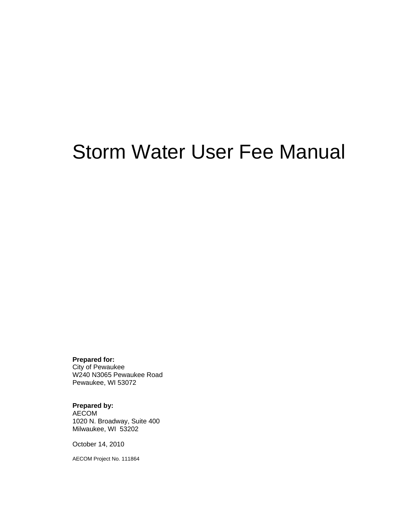# Storm Water User Fee Manual

#### **Prepared for:**

City of Pewaukee W240 N3065 Pewaukee Road Pewaukee, WI 53072

#### **Prepared by:**

AECOM 1020 N. Broadway, Suite 400 Milwaukee, WI 53202

October 14, 2010

AECOM Project No. 111864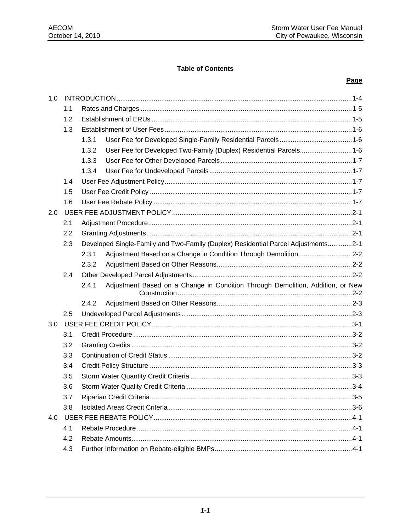#### **Table of Contents**

#### Page

| 1.0 |     |                                                                                         |  |  |
|-----|-----|-----------------------------------------------------------------------------------------|--|--|
|     | 1.1 |                                                                                         |  |  |
|     | 1.2 |                                                                                         |  |  |
|     | 1.3 |                                                                                         |  |  |
|     |     | 1.3.1                                                                                   |  |  |
|     |     | 1.3.2<br>User Fee for Developed Two-Family (Duplex) Residential Parcels1-6              |  |  |
|     |     | 1.3.3                                                                                   |  |  |
|     |     | 1.3.4                                                                                   |  |  |
|     | 1.4 |                                                                                         |  |  |
|     | 1.5 |                                                                                         |  |  |
|     | 1.6 |                                                                                         |  |  |
| 2.0 |     |                                                                                         |  |  |
|     | 2.1 |                                                                                         |  |  |
|     | 2.2 |                                                                                         |  |  |
|     | 2.3 | Developed Single-Family and Two-Family (Duplex) Residential Parcel Adjustments2-1       |  |  |
|     |     | 2.3.1<br>Adjustment Based on a Change in Condition Through Demolition2-2                |  |  |
|     |     | 2.3.2                                                                                   |  |  |
|     | 2.4 |                                                                                         |  |  |
|     |     | Adjustment Based on a Change in Condition Through Demolition, Addition, or New<br>2.4.1 |  |  |
|     |     | 2.4.2                                                                                   |  |  |
|     | 2.5 |                                                                                         |  |  |
| 3.0 |     |                                                                                         |  |  |
|     | 3.1 |                                                                                         |  |  |
|     | 3.2 |                                                                                         |  |  |
|     | 3.3 |                                                                                         |  |  |
|     | 3.4 |                                                                                         |  |  |
|     | 3.5 |                                                                                         |  |  |
|     | 3.6 |                                                                                         |  |  |
|     | 3.7 |                                                                                         |  |  |
|     | 3.8 |                                                                                         |  |  |
| 4.0 |     |                                                                                         |  |  |
|     | 4.1 |                                                                                         |  |  |
|     | 4.2 |                                                                                         |  |  |
|     | 4.3 |                                                                                         |  |  |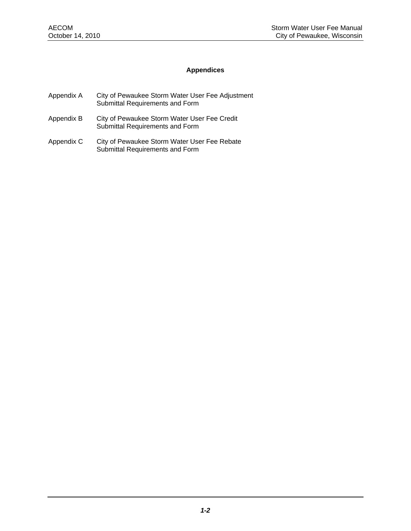#### **Appendices**

- Appendix A City of Pewaukee Storm Water User Fee Adjustment Submittal Requirements and Form
- Appendix B City of Pewaukee Storm Water User Fee Credit Submittal Requirements and Form
- Appendix C City of Pewaukee Storm Water User Fee Rebate Submittal Requirements and Form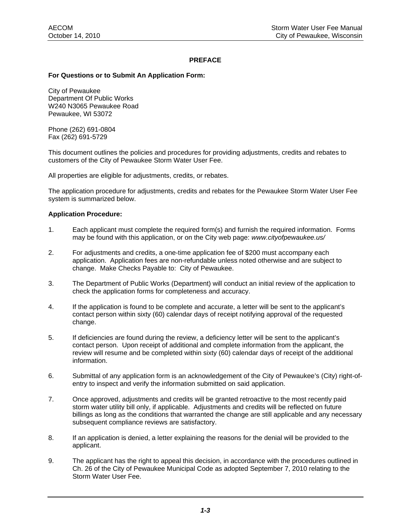#### **PREFACE**

#### **For Questions or to Submit An Application Form:**

City of Pewaukee Department Of Public Works W240 N3065 Pewaukee Road Pewaukee, WI 53072

Phone (262) 691-0804 Fax (262) 691-5729

This document outlines the policies and procedures for providing adjustments, credits and rebates to customers of the City of Pewaukee Storm Water User Fee.

All properties are eligible for adjustments, credits, or rebates.

The application procedure for adjustments, credits and rebates for the Pewaukee Storm Water User Fee system is summarized below.

#### **Application Procedure:**

- 1. Each applicant must complete the required form(s) and furnish the required information. Forms may be found with this application, or on the City web page: *www.cityofpewaukee.us/*
- 2. For adjustments and credits, a one-time application fee of \$200 must accompany each application. Application fees are non-refundable unless noted otherwise and are subject to change. Make Checks Payable to: City of Pewaukee.
- 3. The Department of Public Works (Department) will conduct an initial review of the application to check the application forms for completeness and accuracy.
- 4. If the application is found to be complete and accurate, a letter will be sent to the applicant's contact person within sixty (60) calendar days of receipt notifying approval of the requested change.
- 5. If deficiencies are found during the review, a deficiency letter will be sent to the applicant's contact person. Upon receipt of additional and complete information from the applicant, the review will resume and be completed within sixty (60) calendar days of receipt of the additional information.
- 6. Submittal of any application form is an acknowledgement of the City of Pewaukee's (City) right-ofentry to inspect and verify the information submitted on said application.
- 7. Once approved, adjustments and credits will be granted retroactive to the most recently paid storm water utility bill only, if applicable. Adjustments and credits will be reflected on future billings as long as the conditions that warranted the change are still applicable and any necessary subsequent compliance reviews are satisfactory.
- 8. If an application is denied, a letter explaining the reasons for the denial will be provided to the applicant.
- 9. The applicant has the right to appeal this decision, in accordance with the procedures outlined in Ch. 26 of the City of Pewaukee Municipal Code as adopted September 7, 2010 relating to the Storm Water User Fee.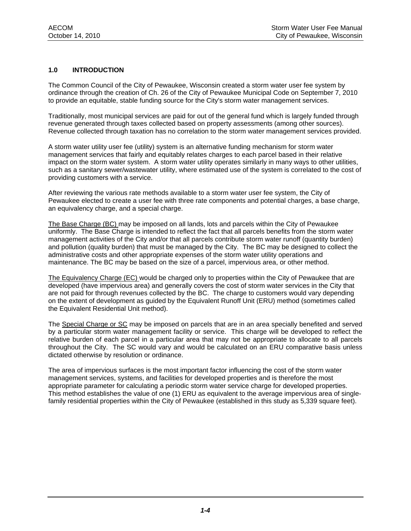#### **1.0 INTRODUCTION**

The Common Council of the City of Pewaukee, Wisconsin created a storm water user fee system by ordinance through the creation of Ch. 26 of the City of Pewaukee Municipal Code on September 7, 2010 to provide an equitable, stable funding source for the City's storm water management services.

Traditionally, most municipal services are paid for out of the general fund which is largely funded through revenue generated through taxes collected based on property assessments (among other sources). Revenue collected through taxation has no correlation to the storm water management services provided.

A storm water utility user fee (utility) system is an alternative funding mechanism for storm water management services that fairly and equitably relates charges to each parcel based in their relative impact on the storm water system. A storm water utility operates similarly in many ways to other utilities, such as a sanitary sewer/wastewater utility, where estimated use of the system is correlated to the cost of providing customers with a service.

After reviewing the various rate methods available to a storm water user fee system, the City of Pewaukee elected to create a user fee with three rate components and potential charges, a base charge, an equivalency charge, and a special charge.

The Base Charge (BC) may be imposed on all lands, lots and parcels within the City of Pewaukee uniformly. The Base Charge is intended to reflect the fact that all parcels benefits from the storm water management activities of the City and/or that all parcels contribute storm water runoff (quantity burden) and pollution (quality burden) that must be managed by the City. The BC may be designed to collect the administrative costs and other appropriate expenses of the storm water utility operations and maintenance. The BC may be based on the size of a parcel, impervious area, or other method.

The Equivalency Charge (EC) would be charged only to properties within the City of Pewaukee that are developed (have impervious area) and generally covers the cost of storm water services in the City that are not paid for through revenues collected by the BC. The charge to customers would vary depending on the extent of development as guided by the Equivalent Runoff Unit (ERU) method (sometimes called the Equivalent Residential Unit method).

The Special Charge or SC may be imposed on parcels that are in an area specially benefited and served by a particular storm water management facility or service. This charge will be developed to reflect the relative burden of each parcel in a particular area that may not be appropriate to allocate to all parcels throughout the City. The SC would vary and would be calculated on an ERU comparative basis unless dictated otherwise by resolution or ordinance.

The area of impervious surfaces is the most important factor influencing the cost of the storm water management services, systems, and facilities for developed properties and is therefore the most appropriate parameter for calculating a periodic storm water service charge for developed properties. This method establishes the value of one (1) ERU as equivalent to the average impervious area of singlefamily residential properties within the City of Pewaukee (established in this study as 5,339 square feet).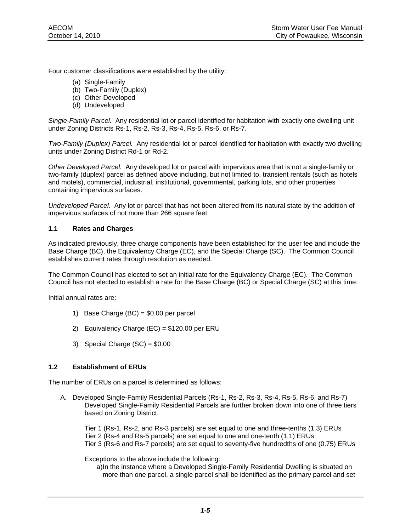Four customer classifications were established by the utility:

- (a) Single-Family
- (b) Two-Family (Duplex)
- (c) Other Developed
- (d) Undeveloped

*Single-Family Parcel.* Any residential lot or parcel identified for habitation with exactly one dwelling unit under Zoning Districts Rs-1, Rs-2, Rs-3, Rs-4, Rs-5, Rs-6, or Rs-7.

*Two-Family (Duplex) Parcel.* Any residential lot or parcel identified for habitation with exactly two dwelling units under Zoning District Rd-1 or Rd-2.

*Other Developed Parcel.* Any developed lot or parcel with impervious area that is not a single-family or two-family (duplex) parcel as defined above including, but not limited to, transient rentals (such as hotels and motels), commercial, industrial, institutional, governmental, parking lots, and other properties containing impervious surfaces.

*Undeveloped Parcel.* Any lot or parcel that has not been altered from its natural state by the addition of impervious surfaces of not more than 266 square feet.

#### **1.1 Rates and Charges**

As indicated previously, three charge components have been established for the user fee and include the Base Charge (BC), the Equivalency Charge (EC), and the Special Charge (SC). The Common Council establishes current rates through resolution as needed.

The Common Council has elected to set an initial rate for the Equivalency Charge (EC). The Common Council has not elected to establish a rate for the Base Charge (BC) or Special Charge (SC) at this time.

Initial annual rates are:

- 1) Base Charge (BC) = \$0.00 per parcel
- 2) Equivalency Charge (EC) = \$120.00 per ERU
- 3) Special Charge (SC) = \$0.00

#### **1.2 Establishment of ERUs**

The number of ERUs on a parcel is determined as follows:

A. Developed Single-Family Residential Parcels (Rs-1, Rs-2, Rs-3, Rs-4, Rs-5, Rs-6, and Rs-7) Developed Single-Family Residential Parcels are further broken down into one of three tiers based on Zoning District.

Tier 1 (Rs-1, Rs-2, and Rs-3 parcels) are set equal to one and three-tenths (1.3) ERUs Tier 2 (Rs-4 and Rs-5 parcels) are set equal to one and one-tenth (1.1) ERUs Tier 3 (Rs-6 and Rs-7 parcels) are set equal to seventy-five hundredths of one (0.75) ERUs

Exceptions to the above include the following:

 a) In the instance where a Developed Single-Family Residential Dwelling is situated on more than one parcel, a single parcel shall be identified as the primary parcel and set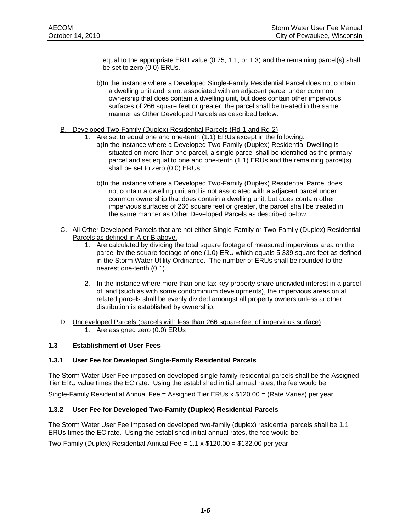equal to the appropriate ERU value (0.75, 1.1, or 1.3) and the remaining parcel(s) shall be set to zero (0.0) ERUs.

- b) In the instance where a Developed Single-Family Residential Parcel does not contain a dwelling unit and is not associated with an adjacent parcel under common ownership that does contain a dwelling unit, but does contain other impervious surfaces of 266 square feet or greater, the parcel shall be treated in the same manner as Other Developed Parcels as described below.
- B. Developed Two-Family (Duplex) Residential Parcels (Rd-1 and Rd-2)
	- 1. Are set to equal one and one-tenth (1.1) ERUs except in the following:
		- a) In the instance where a Developed Two-Family (Duplex) Residential Dwelling is situated on more than one parcel, a single parcel shall be identified as the primary parcel and set equal to one and one-tenth (1.1) ERUs and the remaining parcel(s) shall be set to zero (0.0) ERUs.
		- b) In the instance where a Developed Two-Family (Duplex) Residential Parcel does not contain a dwelling unit and is not associated with a adjacent parcel under common ownership that does contain a dwelling unit, but does contain other impervious surfaces of 266 square feet or greater, the parcel shall be treated in the same manner as Other Developed Parcels as described below.
- C. All Other Developed Parcels that are not either Single-Family or Two-Family (Duplex) Residential Parcels as defined in A or B above.
	- 1. Are calculated by dividing the total square footage of measured impervious area on the parcel by the square footage of one (1.0) ERU which equals 5,339 square feet as defined in the Storm Water Utility Ordinance. The number of ERUs shall be rounded to the nearest one-tenth (0.1).
	- 2. In the instance where more than one tax key property share undivided interest in a parcel of land (such as with some condominium developments), the impervious areas on all related parcels shall be evenly divided amongst all property owners unless another distribution is established by ownership.
- D. Undeveloped Parcels (parcels with less than 266 square feet of impervious surface) 1. Are assigned zero (0.0) ERUs

#### **1.3 Establishment of User Fees**

#### **1.3.1 User Fee for Developed Single-Family Residential Parcels**

The Storm Water User Fee imposed on developed single-family residential parcels shall be the Assigned Tier ERU value times the EC rate. Using the established initial annual rates, the fee would be:

Single-Family Residential Annual Fee = Assigned Tier ERUs x \$120.00 = (Rate Varies) per year

#### **1.3.2 User Fee for Developed Two-Family (Duplex) Residential Parcels**

The Storm Water User Fee imposed on developed two-family (duplex) residential parcels shall be 1.1 ERUs times the EC rate. Using the established initial annual rates, the fee would be:

Two-Family (Duplex) Residential Annual Fee =  $1.1 \times $120.00 = $132.00$  per year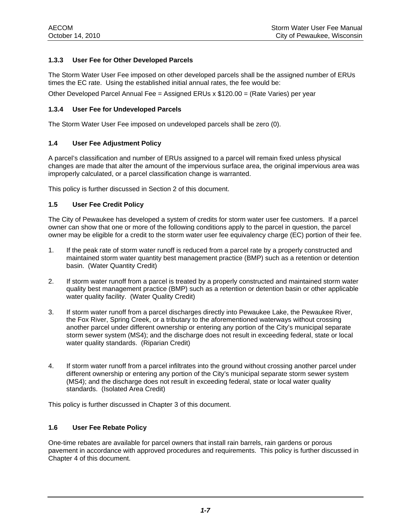#### **1.3.3 User Fee for Other Developed Parcels**

The Storm Water User Fee imposed on other developed parcels shall be the assigned number of ERUs times the EC rate. Using the established initial annual rates, the fee would be:

Other Developed Parcel Annual Fee = Assigned ERUs  $x$  \$120.00 = (Rate Varies) per year

#### **1.3.4 User Fee for Undeveloped Parcels**

The Storm Water User Fee imposed on undeveloped parcels shall be zero (0).

#### **1.4 User Fee Adjustment Policy**

A parcel's classification and number of ERUs assigned to a parcel will remain fixed unless physical changes are made that alter the amount of the impervious surface area, the original impervious area was improperly calculated, or a parcel classification change is warranted.

This policy is further discussed in Section 2 of this document.

#### **1.5 User Fee Credit Policy**

The City of Pewaukee has developed a system of credits for storm water user fee customers. If a parcel owner can show that one or more of the following conditions apply to the parcel in question, the parcel owner may be eligible for a credit to the storm water user fee equivalency charge (EC) portion of their fee.

- 1. If the peak rate of storm water runoff is reduced from a parcel rate by a properly constructed and maintained storm water quantity best management practice (BMP) such as a retention or detention basin. (Water Quantity Credit)
- 2. If storm water runoff from a parcel is treated by a properly constructed and maintained storm water quality best management practice (BMP) such as a retention or detention basin or other applicable water quality facility. (Water Quality Credit)
- 3. If storm water runoff from a parcel discharges directly into Pewaukee Lake, the Pewaukee River, the Fox River, Spring Creek, or a tributary to the aforementioned waterways without crossing another parcel under different ownership or entering any portion of the City's municipal separate storm sewer system (MS4); and the discharge does not result in exceeding federal, state or local water quality standards. (Riparian Credit)
- 4. If storm water runoff from a parcel infiltrates into the ground without crossing another parcel under different ownership or entering any portion of the City's municipal separate storm sewer system (MS4); and the discharge does not result in exceeding federal, state or local water quality standards. (Isolated Area Credit)

This policy is further discussed in Chapter 3 of this document.

#### **1.6 User Fee Rebate Policy**

One-time rebates are available for parcel owners that install rain barrels, rain gardens or porous pavement in accordance with approved procedures and requirements. This policy is further discussed in Chapter 4 of this document.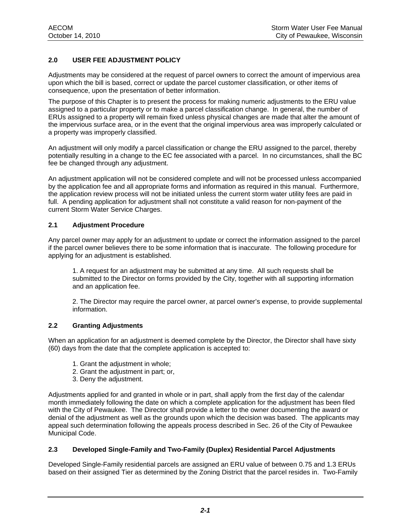#### **2.0 USER FEE ADJUSTMENT POLICY**

Adjustments may be considered at the request of parcel owners to correct the amount of impervious area upon which the bill is based, correct or update the parcel customer classification, or other items of consequence, upon the presentation of better information.

The purpose of this Chapter is to present the process for making numeric adjustments to the ERU value assigned to a particular property or to make a parcel classification change. In general, the number of ERUs assigned to a property will remain fixed unless physical changes are made that alter the amount of the impervious surface area, or in the event that the original impervious area was improperly calculated or a property was improperly classified.

An adjustment will only modify a parcel classification or change the ERU assigned to the parcel, thereby potentially resulting in a change to the EC fee associated with a parcel. In no circumstances, shall the BC fee be changed through any adjustment.

An adjustment application will not be considered complete and will not be processed unless accompanied by the application fee and all appropriate forms and information as required in this manual. Furthermore, the application review process will not be initiated unless the current storm water utility fees are paid in full. A pending application for adjustment shall not constitute a valid reason for non-payment of the current Storm Water Service Charges.

#### **2.1 Adjustment Procedure**

Any parcel owner may apply for an adjustment to update or correct the information assigned to the parcel if the parcel owner believes there to be some information that is inaccurate. The following procedure for applying for an adjustment is established.

1. A request for an adjustment may be submitted at any time. All such requests shall be submitted to the Director on forms provided by the City, together with all supporting information and an application fee.

2. The Director may require the parcel owner, at parcel owner's expense, to provide supplemental information.

#### **2.2 Granting Adjustments**

When an application for an adjustment is deemed complete by the Director, the Director shall have sixty (60) days from the date that the complete application is accepted to:

- 1. Grant the adjustment in whole;
- 2. Grant the adjustment in part; or,
- 3. Deny the adjustment.

Adjustments applied for and granted in whole or in part, shall apply from the first day of the calendar month immediately following the date on which a complete application for the adjustment has been filed with the City of Pewaukee. The Director shall provide a letter to the owner documenting the award or denial of the adjustment as well as the grounds upon which the decision was based. The applicants may appeal such determination following the appeals process described in Sec. 26 of the City of Pewaukee Municipal Code.

#### **2.3 Developed Single-Family and Two-Family (Duplex) Residential Parcel Adjustments**

Developed Single-Family residential parcels are assigned an ERU value of between 0.75 and 1.3 ERUs based on their assigned Tier as determined by the Zoning District that the parcel resides in. Two-Family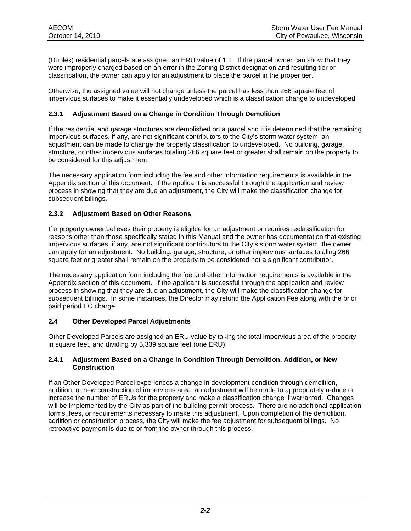(Duplex) residential parcels are assigned an ERU value of 1.1. If the parcel owner can show that they were improperly charged based on an error in the Zoning District designation and resulting tier or classification, the owner can apply for an adjustment to place the parcel in the proper tier.

Otherwise, the assigned value will not change unless the parcel has less than 266 square feet of impervious surfaces to make it essentially undeveloped which is a classification change to undeveloped.

#### **2.3.1 Adjustment Based on a Change in Condition Through Demolition**

If the residential and garage structures are demolished on a parcel and it is determined that the remaining impervious surfaces, if any, are not significant contributors to the City's storm water system, an adjustment can be made to change the property classification to undeveloped. No building, garage, structure, or other impervious surfaces totaling 266 square feet or greater shall remain on the property to be considered for this adjustment.

The necessary application form including the fee and other information requirements is available in the Appendix section of this document. If the applicant is successful through the application and review process in showing that they are due an adjustment, the City will make the classification change for subsequent billings.

#### **2.3.2 Adjustment Based on Other Reasons**

If a property owner believes their property is eligible for an adjustment or requires reclassification for reasons other than those specifically stated in this Manual and the owner has documentation that existing impervious surfaces, if any, are not significant contributors to the City's storm water system, the owner can apply for an adjustment. No building, garage, structure, or other impervious surfaces totaling 266 square feet or greater shall remain on the property to be considered not a significant contributor.

The necessary application form including the fee and other information requirements is available in the Appendix section of this document. If the applicant is successful through the application and review process in showing that they are due an adjustment, the City will make the classification change for subsequent billings. In some instances, the Director may refund the Application Fee along with the prior paid period EC charge.

#### **2.4 Other Developed Parcel Adjustments**

Other Developed Parcels are assigned an ERU value by taking the total impervious area of the property in square feet, and dividing by 5,339 square feet (one ERU).

#### **2.4.1 Adjustment Based on a Change in Condition Through Demolition, Addition, or New Construction**

If an Other Developed Parcel experiences a change in development condition through demolition, addition, or new construction of impervious area, an adjustment will be made to appropriately reduce or increase the number of ERUs for the property and make a classification change if warranted. Changes will be implemented by the City as part of the building permit process. There are no additional application forms, fees, or requirements necessary to make this adjustment. Upon completion of the demolition, addition or construction process, the City will make the fee adjustment for subsequent billings. No retroactive payment is due to or from the owner through this process.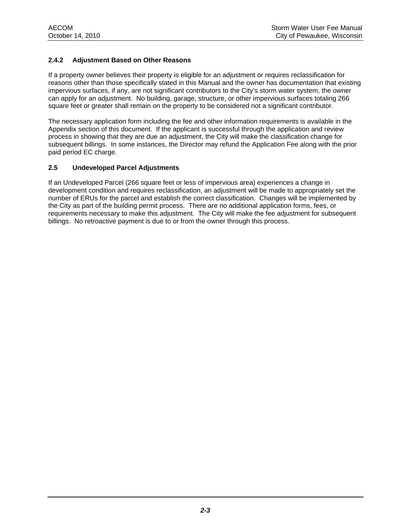#### **2.4.2 Adjustment Based on Other Reasons**

If a property owner believes their property is eligible for an adjustment or requires reclassification for reasons other than those specifically stated in this Manual and the owner has documentation that existing impervious surfaces, if any, are not significant contributors to the City's storm water system, the owner can apply for an adjustment. No building, garage, structure, or other impervious surfaces totaling 266 square feet or greater shall remain on the property to be considered not a significant contributor.

The necessary application form including the fee and other information requirements is available in the Appendix section of this document. If the applicant is successful through the application and review process in showing that they are due an adjustment, the City will make the classification change for subsequent billings. In some instances, the Director may refund the Application Fee along with the prior paid period EC charge.

#### **2.5 Undeveloped Parcel Adjustments**

If an Undeveloped Parcel (266 square feet or less of impervious area) experiences a change in development condition and requires reclassification, an adjustment will be made to appropriately set the number of ERUs for the parcel and establish the correct classification. Changes will be implemented by the City as part of the building permit process. There are no additional application forms, fees, or requirements necessary to make this adjustment. The City will make the fee adjustment for subsequent billings. No retroactive payment is due to or from the owner through this process.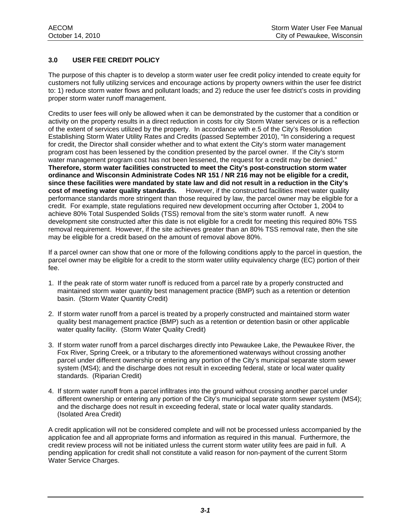#### **3.0 USER FEE CREDIT POLICY**

The purpose of this chapter is to develop a storm water user fee credit policy intended to create equity for customers not fully utilizing services and encourage actions by property owners within the user fee district to: 1) reduce storm water flows and pollutant loads; and 2) reduce the user fee district's costs in providing proper storm water runoff management.

Credits to user fees will only be allowed when it can be demonstrated by the customer that a condition or activity on the property results in a direct reduction in costs for city Storm Water services or is a reflection of the extent of services utilized by the property. In accordance with e.5 of the City's Resolution Establishing Storm Water Utility Rates and Credits (passed September 2010), "In considering a request for credit, the Director shall consider whether and to what extent the City's storm water management program cost has been lessened by the condition presented by the parcel owner. If the City's storm water management program cost has not been lessened, the request for a credit may be denied." **Therefore, storm water facilities constructed to meet the City's post-construction storm water ordinance and Wisconsin Administrate Codes NR 151 / NR 216 may not be eligible for a credit, since these facilities were mandated by state law and did not result in a reduction in the City's cost of meeting water quality standards.** However, if the constructed facilities meet water quality performance standards more stringent than those required by law, the parcel owner may be eligible for a credit. For example, state regulations required new development occurring after October 1, 2004 to achieve 80% Total Suspended Solids (TSS) removal from the site's storm water runoff. A new development site constructed after this date is not eligible for a credit for meeting this required 80% TSS removal requirement. However, if the site achieves greater than an 80% TSS removal rate, then the site may be eligible for a credit based on the amount of removal above 80%.

If a parcel owner can show that one or more of the following conditions apply to the parcel in question, the parcel owner may be eligible for a credit to the storm water utility equivalency charge (EC) portion of their fee.

- 1. If the peak rate of storm water runoff is reduced from a parcel rate by a properly constructed and maintained storm water quantity best management practice (BMP) such as a retention or detention basin. (Storm Water Quantity Credit)
- 2. If storm water runoff from a parcel is treated by a properly constructed and maintained storm water quality best management practice (BMP) such as a retention or detention basin or other applicable water quality facility. (Storm Water Quality Credit)
- 3. If storm water runoff from a parcel discharges directly into Pewaukee Lake, the Pewaukee River, the Fox River, Spring Creek, or a tributary to the aforementioned waterways without crossing another parcel under different ownership or entering any portion of the City's municipal separate storm sewer system (MS4); and the discharge does not result in exceeding federal, state or local water quality standards. (Riparian Credit)
- 4. If storm water runoff from a parcel infiltrates into the ground without crossing another parcel under different ownership or entering any portion of the City's municipal separate storm sewer system (MS4); and the discharge does not result in exceeding federal, state or local water quality standards. (Isolated Area Credit)

A credit application will not be considered complete and will not be processed unless accompanied by the application fee and all appropriate forms and information as required in this manual. Furthermore, the credit review process will not be initiated unless the current storm water utility fees are paid in full. A pending application for credit shall not constitute a valid reason for non-payment of the current Storm Water Service Charges.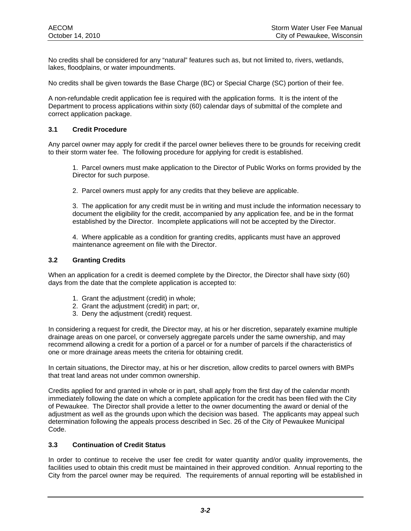No credits shall be considered for any "natural" features such as, but not limited to, rivers, wetlands, lakes, floodplains, or water impoundments.

No credits shall be given towards the Base Charge (BC) or Special Charge (SC) portion of their fee.

A non-refundable credit application fee is required with the application forms. It is the intent of the Department to process applications within sixty (60) calendar days of submittal of the complete and correct application package.

#### **3.1 Credit Procedure**

Any parcel owner may apply for credit if the parcel owner believes there to be grounds for receiving credit to their storm water fee. The following procedure for applying for credit is established.

1. Parcel owners must make application to the Director of Public Works on forms provided by the Director for such purpose.

2. Parcel owners must apply for any credits that they believe are applicable.

3. The application for any credit must be in writing and must include the information necessary to document the eligibility for the credit, accompanied by any application fee, and be in the format established by the Director. Incomplete applications will not be accepted by the Director.

4. Where applicable as a condition for granting credits, applicants must have an approved maintenance agreement on file with the Director.

#### **3.2 Granting Credits**

When an application for a credit is deemed complete by the Director, the Director shall have sixty (60) days from the date that the complete application is accepted to:

- 1. Grant the adjustment (credit) in whole;
- 2. Grant the adjustment (credit) in part; or,
- 3. Deny the adjustment (credit) request.

In considering a request for credit, the Director may, at his or her discretion, separately examine multiple drainage areas on one parcel, or conversely aggregate parcels under the same ownership, and may recommend allowing a credit for a portion of a parcel or for a number of parcels if the characteristics of one or more drainage areas meets the criteria for obtaining credit.

In certain situations, the Director may, at his or her discretion, allow credits to parcel owners with BMPs that treat land areas not under common ownership.

Credits applied for and granted in whole or in part, shall apply from the first day of the calendar month immediately following the date on which a complete application for the credit has been filed with the City of Pewaukee. The Director shall provide a letter to the owner documenting the award or denial of the adjustment as well as the grounds upon which the decision was based. The applicants may appeal such determination following the appeals process described in Sec. 26 of the City of Pewaukee Municipal Code.

#### **3.3 Continuation of Credit Status**

In order to continue to receive the user fee credit for water quantity and/or quality improvements, the facilities used to obtain this credit must be maintained in their approved condition. Annual reporting to the City from the parcel owner may be required. The requirements of annual reporting will be established in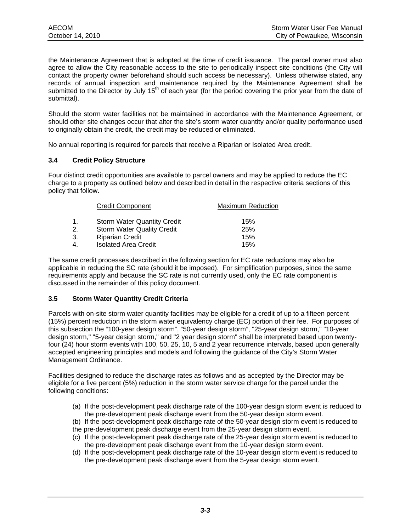the Maintenance Agreement that is adopted at the time of credit issuance. The parcel owner must also agree to allow the City reasonable access to the site to periodically inspect site conditions (the City will contact the property owner beforehand should such access be necessary). Unless otherwise stated, any records of annual inspection and maintenance required by the Maintenance Agreement shall be submitted to the Director by July 15<sup>th</sup> of each year (for the period covering the prior year from the date of submittal).

Should the storm water facilities not be maintained in accordance with the Maintenance Agreement, or should other site changes occur that alter the site's storm water quantity and/or quality performance used to originally obtain the credit, the credit may be reduced or eliminated.

No annual reporting is required for parcels that receive a Riparian or Isolated Area credit.

#### **3.4 Credit Policy Structure**

Four distinct credit opportunities are available to parcel owners and may be applied to reduce the EC charge to a property as outlined below and described in detail in the respective criteria sections of this policy that follow.

|    | <b>Credit Component</b>            | <b>Maximum Reduction</b> |
|----|------------------------------------|--------------------------|
| 1. | <b>Storm Water Quantity Credit</b> | 15%                      |
| 2. | <b>Storm Water Quality Credit</b>  | 25%                      |
| 3. | <b>Riparian Credit</b>             | 15%                      |
| 4. | <b>Isolated Area Credit</b>        | 15%                      |

The same credit processes described in the following section for EC rate reductions may also be applicable in reducing the SC rate (should it be imposed). For simplification purposes, since the same requirements apply and because the SC rate is not currently used, only the EC rate component is discussed in the remainder of this policy document.

#### **3.5 Storm Water Quantity Credit Criteria**

Parcels with on-site storm water quantity facilities may be eligible for a credit of up to a fifteen percent (15%) percent reduction in the storm water equivalency charge (EC) portion of their fee. For purposes of this subsection the "100-year design storm", "50-year design storm", "25-year design storm," "10-year design storm," "5-year design storm," and "2 year design storm" shall be interpreted based upon twentyfour (24) hour storm events with 100, 50, 25, 10, 5 and 2 year recurrence intervals, based upon generally accepted engineering principles and models and following the guidance of the City's Storm Water Management Ordinance.

Facilities designed to reduce the discharge rates as follows and as accepted by the Director may be eligible for a five percent (5%) reduction in the storm water service charge for the parcel under the following conditions:

- (a) If the post-development peak discharge rate of the 100-year design storm event is reduced to the pre-development peak discharge event from the 50-year design storm event.
- (b) If the post-development peak discharge rate of the 50-year design storm event is reduced to
- the pre-development peak discharge event from the 25-year design storm event.
- (c) If the post-development peak discharge rate of the 25-year design storm event is reduced to the pre-development peak discharge event from the 10-year design storm event.
- (d) If the post-development peak discharge rate of the 10-year design storm event is reduced to the pre-development peak discharge event from the 5-year design storm event.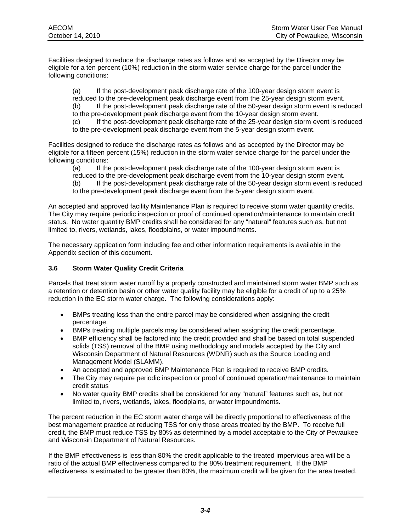Facilities designed to reduce the discharge rates as follows and as accepted by the Director may be eligible for a ten percent (10%) reduction in the storm water service charge for the parcel under the following conditions:

(a) If the post-development peak discharge rate of the 100-year design storm event is reduced to the pre-development peak discharge event from the 25-year design storm event. (b) If the post-development peak discharge rate of the 50-year design storm event is reduced to the pre-development peak discharge event from the 10-year design storm event. (c) If the post-development peak discharge rate of the 25-year design storm event is reduced to the pre-development peak discharge event from the 5-year design storm event.

Facilities designed to reduce the discharge rates as follows and as accepted by the Director may be eligible for a fifteen percent (15%) reduction in the storm water service charge for the parcel under the following conditions:

(a) If the post-development peak discharge rate of the 100-year design storm event is

reduced to the pre-development peak discharge event from the 10-year design storm event. (b) If the post-development peak discharge rate of the 50-year design storm event is reduced

to the pre-development peak discharge event from the 5-year design storm event.

An accepted and approved facility Maintenance Plan is required to receive storm water quantity credits. The City may require periodic inspection or proof of continued operation/maintenance to maintain credit status. No water quantity BMP credits shall be considered for any "natural" features such as, but not limited to, rivers, wetlands, lakes, floodplains, or water impoundments.

The necessary application form including fee and other information requirements is available in the Appendix section of this document.

#### **3.6 Storm Water Quality Credit Criteria**

Parcels that treat storm water runoff by a properly constructed and maintained storm water BMP such as a retention or detention basin or other water quality facility may be eligible for a credit of up to a 25% reduction in the EC storm water charge. The following considerations apply:

- BMPs treating less than the entire parcel may be considered when assigning the credit percentage.
- BMPs treating multiple parcels may be considered when assigning the credit percentage.
- BMP efficiency shall be factored into the credit provided and shall be based on total suspended solids (TSS) removal of the BMP using methodology and models accepted by the City and Wisconsin Department of Natural Resources (WDNR) such as the Source Loading and Management Model (SLAMM).
- An accepted and approved BMP Maintenance Plan is required to receive BMP credits.
- The City may require periodic inspection or proof of continued operation/maintenance to maintain credit status
- No water quality BMP credits shall be considered for any "natural" features such as, but not limited to, rivers, wetlands, lakes, floodplains, or water impoundments.

The percent reduction in the EC storm water charge will be directly proportional to effectiveness of the best management practice at reducing TSS for only those areas treated by the BMP. To receive full credit, the BMP must reduce TSS by 80% as determined by a model acceptable to the City of Pewaukee and Wisconsin Department of Natural Resources.

If the BMP effectiveness is less than 80% the credit applicable to the treated impervious area will be a ratio of the actual BMP effectiveness compared to the 80% treatment requirement. If the BMP effectiveness is estimated to be greater than 80%, the maximum credit will be given for the area treated.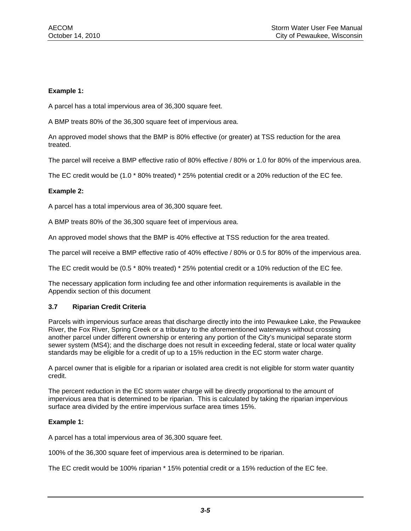#### **Example 1:**

A parcel has a total impervious area of 36,300 square feet.

A BMP treats 80% of the 36,300 square feet of impervious area.

An approved model shows that the BMP is 80% effective (or greater) at TSS reduction for the area treated.

The parcel will receive a BMP effective ratio of 80% effective / 80% or 1.0 for 80% of the impervious area.

The EC credit would be (1.0 \* 80% treated) \* 25% potential credit or a 20% reduction of the EC fee.

#### **Example 2:**

A parcel has a total impervious area of 36,300 square feet.

A BMP treats 80% of the 36,300 square feet of impervious area.

An approved model shows that the BMP is 40% effective at TSS reduction for the area treated.

The parcel will receive a BMP effective ratio of 40% effective / 80% or 0.5 for 80% of the impervious area.

The EC credit would be (0.5 \* 80% treated) \* 25% potential credit or a 10% reduction of the EC fee.

The necessary application form including fee and other information requirements is available in the Appendix section of this document

#### **3.7 Riparian Credit Criteria**

Parcels with impervious surface areas that discharge directly into the into Pewaukee Lake, the Pewaukee River, the Fox River, Spring Creek or a tributary to the aforementioned waterways without crossing another parcel under different ownership or entering any portion of the City's municipal separate storm sewer system (MS4); and the discharge does not result in exceeding federal, state or local water quality standards may be eligible for a credit of up to a 15% reduction in the EC storm water charge.

A parcel owner that is eligible for a riparian or isolated area credit is not eligible for storm water quantity credit.

The percent reduction in the EC storm water charge will be directly proportional to the amount of impervious area that is determined to be riparian. This is calculated by taking the riparian impervious surface area divided by the entire impervious surface area times 15%.

#### **Example 1:**

A parcel has a total impervious area of 36,300 square feet.

100% of the 36,300 square feet of impervious area is determined to be riparian.

The EC credit would be 100% riparian \* 15% potential credit or a 15% reduction of the EC fee.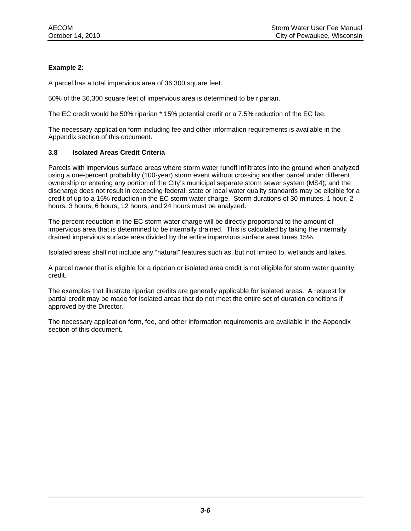#### **Example 2:**

A parcel has a total impervious area of 36,300 square feet.

50% of the 36,300 square feet of impervious area is determined to be riparian.

The EC credit would be 50% riparian \* 15% potential credit or a 7.5% reduction of the EC fee.

The necessary application form including fee and other information requirements is available in the Appendix section of this document.

#### **3.8 Isolated Areas Credit Criteria**

Parcels with impervious surface areas where storm water runoff infiltrates into the ground when analyzed using a one-percent probability (100-year) storm event without crossing another parcel under different ownership or entering any portion of the City's municipal separate storm sewer system (MS4); and the discharge does not result in exceeding federal, state or local water quality standards may be eligible for a credit of up to a 15% reduction in the EC storm water charge. Storm durations of 30 minutes, 1 hour, 2 hours, 3 hours, 6 hours, 12 hours, and 24 hours must be analyzed.

The percent reduction in the EC storm water charge will be directly proportional to the amount of impervious area that is determined to be internally drained. This is calculated by taking the internally drained impervious surface area divided by the entire impervious surface area times 15%.

Isolated areas shall not include any "natural" features such as, but not limited to, wetlands and lakes.

A parcel owner that is eligible for a riparian or isolated area credit is not eligible for storm water quantity credit.

The examples that illustrate riparian credits are generally applicable for isolated areas. A request for partial credit may be made for isolated areas that do not meet the entire set of duration conditions if approved by the Director.

The necessary application form, fee, and other information requirements are available in the Appendix section of this document.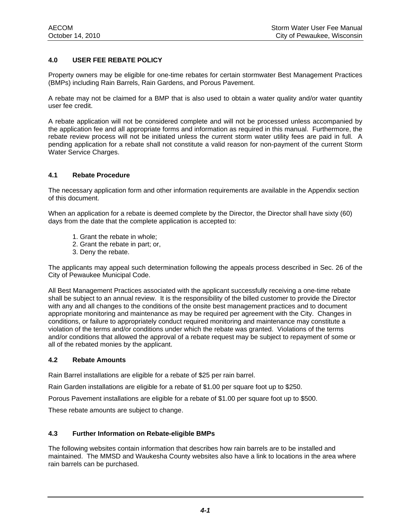#### **4.0 USER FEE REBATE POLICY**

Property owners may be eligible for one-time rebates for certain stormwater Best Management Practices (BMPs) including Rain Barrels, Rain Gardens, and Porous Pavement.

A rebate may not be claimed for a BMP that is also used to obtain a water quality and/or water quantity user fee credit.

A rebate application will not be considered complete and will not be processed unless accompanied by the application fee and all appropriate forms and information as required in this manual. Furthermore, the rebate review process will not be initiated unless the current storm water utility fees are paid in full. A pending application for a rebate shall not constitute a valid reason for non-payment of the current Storm Water Service Charges.

#### **4.1 Rebate Procedure**

The necessary application form and other information requirements are available in the Appendix section of this document.

When an application for a rebate is deemed complete by the Director, the Director shall have sixty (60) days from the date that the complete application is accepted to:

- 1. Grant the rebate in whole;
- 2. Grant the rebate in part; or,
- 3. Deny the rebate.

The applicants may appeal such determination following the appeals process described in Sec. 26 of the City of Pewaukee Municipal Code.

All Best Management Practices associated with the applicant successfully receiving a one-time rebate shall be subject to an annual review. It is the responsibility of the billed customer to provide the Director with any and all changes to the conditions of the onsite best management practices and to document appropriate monitoring and maintenance as may be required per agreement with the City. Changes in conditions, or failure to appropriately conduct required monitoring and maintenance may constitute a violation of the terms and/or conditions under which the rebate was granted. Violations of the terms and/or conditions that allowed the approval of a rebate request may be subject to repayment of some or all of the rebated monies by the applicant.

#### **4.2 Rebate Amounts**

Rain Barrel installations are eligible for a rebate of \$25 per rain barrel.

Rain Garden installations are eligible for a rebate of \$1.00 per square foot up to \$250.

Porous Pavement installations are eligible for a rebate of \$1.00 per square foot up to \$500.

These rebate amounts are subject to change.

#### **4.3 Further Information on Rebate-eligible BMPs**

The following websites contain information that describes how rain barrels are to be installed and maintained. The MMSD and Waukesha County websites also have a link to locations in the area where rain barrels can be purchased.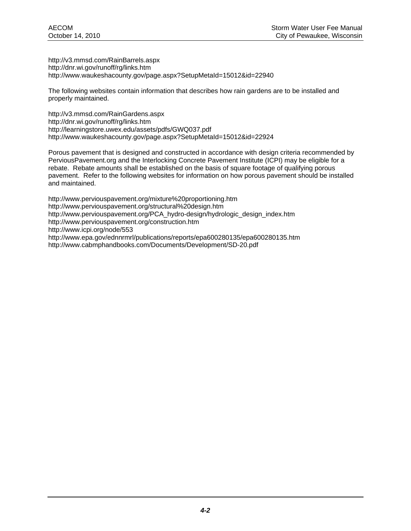http://v3.mmsd.com/RainBarrels.aspx http://dnr.wi.gov/runoff/rg/links.htm http://www.waukeshacounty.gov/page.aspx?SetupMetaId=15012&id=22940

The following websites contain information that describes how rain gardens are to be installed and properly maintained.

http://v3.mmsd.com/RainGardens.aspx http://dnr.wi.gov/runoff/rg/links.htm http://learningstore.uwex.edu/assets/pdfs/GWQ037.pdf http://www.waukeshacounty.gov/page.aspx?SetupMetaId=15012&id=22924

Porous pavement that is designed and constructed in accordance with design criteria recommended by PerviousPavement.org and the Interlocking Concrete Pavement Institute (ICPI) may be eligible for a rebate. Rebate amounts shall be established on the basis of square footage of qualifying porous pavement. Refer to the following websites for information on how porous pavement should be installed and maintained.

http://www.perviouspavement.org/mixture%20proportioning.htm http://www.perviouspavement.org/structural%20design.htm http://www.perviouspavement.org/PCA\_hydro-design/hydrologic\_design\_index.htm http://www.perviouspavement.org/construction.htm http://www.icpi.org/node/553 http://www.epa.gov/ednnrmrl/publications/reports/epa600280135/epa600280135.htm http://www.cabmphandbooks.com/Documents/Development/SD-20.pdf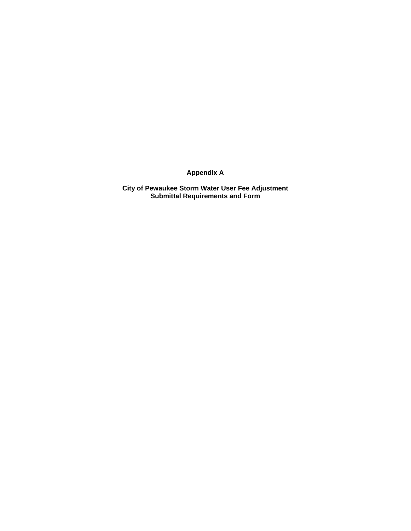**Appendix A** 

**City of Pewaukee Storm Water User Fee Adjustment Submittal Requirements and Form**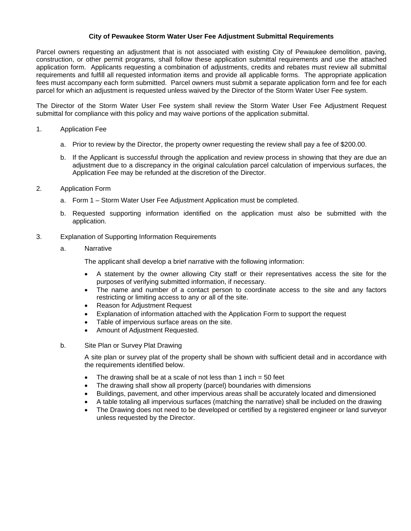#### **City of Pewaukee Storm Water User Fee Adjustment Submittal Requirements**

Parcel owners requesting an adjustment that is not associated with existing City of Pewaukee demolition, paving, construction, or other permit programs, shall follow these application submittal requirements and use the attached application form. Applicants requesting a combination of adjustments, credits and rebates must review all submittal requirements and fulfill all requested information items and provide all applicable forms. The appropriate application fees must accompany each form submitted. Parcel owners must submit a separate application form and fee for each parcel for which an adjustment is requested unless waived by the Director of the Storm Water User Fee system.

The Director of the Storm Water User Fee system shall review the Storm Water User Fee Adjustment Request submittal for compliance with this policy and may waive portions of the application submittal.

#### 1. Application Fee

- a. Prior to review by the Director, the property owner requesting the review shall pay a fee of \$200.00.
- b. If the Applicant is successful through the application and review process in showing that they are due an adjustment due to a discrepancy in the original calculation parcel calculation of impervious surfaces, the Application Fee may be refunded at the discretion of the Director.
- 2. Application Form
	- a. Form 1 Storm Water User Fee Adjustment Application must be completed.
	- b. Requested supporting information identified on the application must also be submitted with the application.
- 3. Explanation of Supporting Information Requirements
	- a. Narrative

The applicant shall develop a brief narrative with the following information:

- A statement by the owner allowing City staff or their representatives access the site for the purposes of verifying submitted information, if necessary.
- The name and number of a contact person to coordinate access to the site and any factors restricting or limiting access to any or all of the site.
- Reason for Adjustment Request
- Explanation of information attached with the Application Form to support the request
- Table of impervious surface areas on the site.
- Amount of Adjustment Requested.
- b. Site Plan or Survey Plat Drawing

A site plan or survey plat of the property shall be shown with sufficient detail and in accordance with the requirements identified below.

- The drawing shall be at a scale of not less than 1 inch  $=$  50 feet
- The drawing shall show all property (parcel) boundaries with dimensions
- Buildings, pavement, and other impervious areas shall be accurately located and dimensioned
- A table totaling all impervious surfaces (matching the narrative) shall be included on the drawing
- The Drawing does not need to be developed or certified by a registered engineer or land surveyor unless requested by the Director.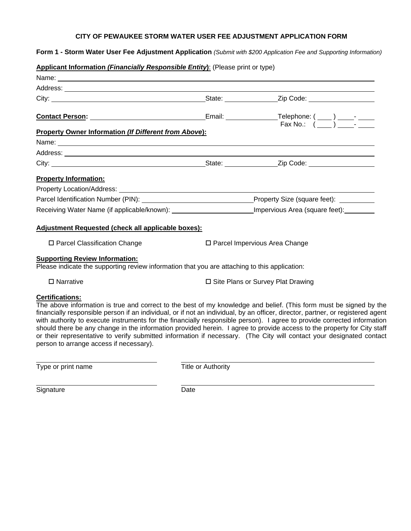#### **CITY OF PEWAUKEE STORM WATER USER FEE ADJUSTMENT APPLICATION FORM**

**Form 1 - Storm Water User Fee Adjustment Application** *(Submit with \$200 Application Fee and Supporting Information)*

#### **Applicant Information** *(Financially Responsible Entity***)**: (Please print or type)

| <b>Property Owner Information (If Different from Above):</b>                                                                           |                                                                                                            |  |  |
|----------------------------------------------------------------------------------------------------------------------------------------|------------------------------------------------------------------------------------------------------------|--|--|
|                                                                                                                                        |                                                                                                            |  |  |
|                                                                                                                                        |                                                                                                            |  |  |
|                                                                                                                                        |                                                                                                            |  |  |
| <b>Property Information:</b>                                                                                                           |                                                                                                            |  |  |
| Property Location/Address: North American Control of Transfer Address: North American Control of Transfer Address                      |                                                                                                            |  |  |
|                                                                                                                                        |                                                                                                            |  |  |
|                                                                                                                                        | Receiving Water Name (if applicable/known): ________________________Impervious Area (square feet): _______ |  |  |
| Adjustment Requested (check all applicable boxes):                                                                                     |                                                                                                            |  |  |
| $\Box$ Parcel Classification Change                                                                                                    | $\Box$ Parcel Impervious Area Change                                                                       |  |  |
| <b>Supporting Review Information:</b><br>Please indicate the supporting review information that you are attaching to this application: |                                                                                                            |  |  |
| $\Box$ Mexically $\Box$                                                                                                                | <b>EL Cita Diana av Cunique Diat Dvauding</b>                                                              |  |  |

**Certifications:**

□ Narrative Construction Survey Plat Drawing

#### The above information is true and correct to the best of my knowledge and belief. (This form must be signed by the financially responsible person if an individual, or if not an individual, by an officer, director, partner, or registered agent with authority to execute instruments for the financially responsible person). I agree to provide corrected information should there be any change in the information provided herein. I agree to provide access to the property for City staff or their representative to verify submitted information if necessary. (The City will contact your designated contact person to arrange access if necessary).

Type or print name Type or print name

Signature Date

 $\overline{a}$ 

 $\overline{a}$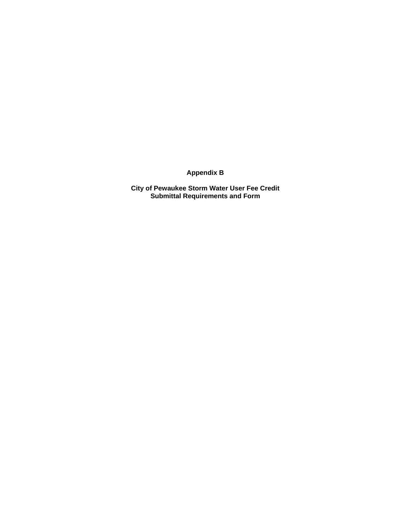**Appendix B** 

**City of Pewaukee Storm Water User Fee Credit Submittal Requirements and Form**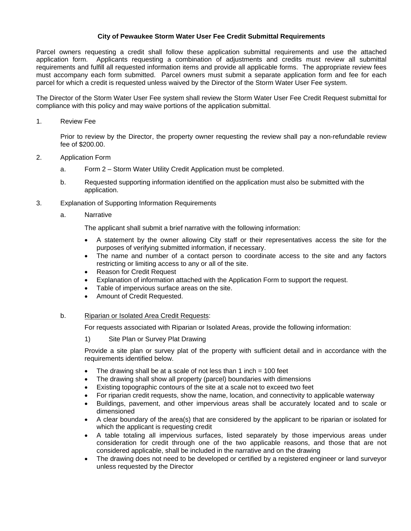#### **City of Pewaukee Storm Water User Fee Credit Submittal Requirements**

Parcel owners requesting a credit shall follow these application submittal requirements and use the attached application form. Applicants requesting a combination of adjustments and credits must review all submittal requirements and fulfill all requested information items and provide all applicable forms. The appropriate review fees must accompany each form submitted. Parcel owners must submit a separate application form and fee for each parcel for which a credit is requested unless waived by the Director of the Storm Water User Fee system.

The Director of the Storm Water User Fee system shall review the Storm Water User Fee Credit Request submittal for compliance with this policy and may waive portions of the application submittal.

#### 1. Review Fee

Prior to review by the Director, the property owner requesting the review shall pay a non-refundable review fee of \$200.00.

#### 2. Application Form

- a. Form 2 Storm Water Utility Credit Application must be completed.
- b. Requested supporting information identified on the application must also be submitted with the application.
- 3. Explanation of Supporting Information Requirements
	- a. Narrative

The applicant shall submit a brief narrative with the following information:

- A statement by the owner allowing City staff or their representatives access the site for the purposes of verifying submitted information, if necessary.
- The name and number of a contact person to coordinate access to the site and any factors restricting or limiting access to any or all of the site.
- Reason for Credit Request
- Explanation of information attached with the Application Form to support the request.
- Table of impervious surface areas on the site.
- Amount of Credit Requested.

#### b. Riparian or Isolated Area Credit Requests:

For requests associated with Riparian or Isolated Areas, provide the following information:

1) Site Plan or Survey Plat Drawing

Provide a site plan or survey plat of the property with sufficient detail and in accordance with the requirements identified below.

- The drawing shall be at a scale of not less than 1 inch  $= 100$  feet
- The drawing shall show all property (parcel) boundaries with dimensions
- Existing topographic contours of the site at a scale not to exceed two feet
- For riparian credit requests, show the name, location, and connectivity to applicable waterway
- Buildings, pavement, and other impervious areas shall be accurately located and to scale or dimensioned
- A clear boundary of the area(s) that are considered by the applicant to be riparian or isolated for which the applicant is requesting credit
- A table totaling all impervious surfaces, listed separately by those impervious areas under consideration for credit through one of the two applicable reasons, and those that are not considered applicable, shall be included in the narrative and on the drawing
- The drawing does not need to be developed or certified by a registered engineer or land surveyor unless requested by the Director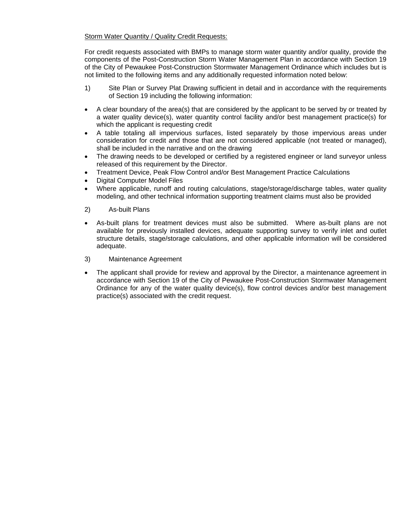#### Storm Water Quantity / Quality Credit Requests:

For credit requests associated with BMPs to manage storm water quantity and/or quality, provide the components of the Post-Construction Storm Water Management Plan in accordance with Section 19 of the City of Pewaukee Post-Construction Stormwater Management Ordinance which includes but is not limited to the following items and any additionally requested information noted below:

- 1) Site Plan or Survey Plat Drawing sufficient in detail and in accordance with the requirements of Section 19 including the following information:
- A clear boundary of the area(s) that are considered by the applicant to be served by or treated by a water quality device(s), water quantity control facility and/or best management practice(s) for which the applicant is requesting credit
- A table totaling all impervious surfaces, listed separately by those impervious areas under consideration for credit and those that are not considered applicable (not treated or managed), shall be included in the narrative and on the drawing
- The drawing needs to be developed or certified by a registered engineer or land surveyor unless released of this requirement by the Director.
- Treatment Device, Peak Flow Control and/or Best Management Practice Calculations
- Digital Computer Model Files
- Where applicable, runoff and routing calculations, stage/storage/discharge tables, water quality modeling, and other technical information supporting treatment claims must also be provided
- 2) As-built Plans
- As-built plans for treatment devices must also be submitted. Where as-built plans are not available for previously installed devices, adequate supporting survey to verify inlet and outlet structure details, stage/storage calculations, and other applicable information will be considered adequate.
- 3) Maintenance Agreement
- The applicant shall provide for review and approval by the Director, a maintenance agreement in accordance with Section 19 of the City of Pewaukee Post-Construction Stormwater Management Ordinance for any of the water quality device(s), flow control devices and/or best management practice(s) associated with the credit request.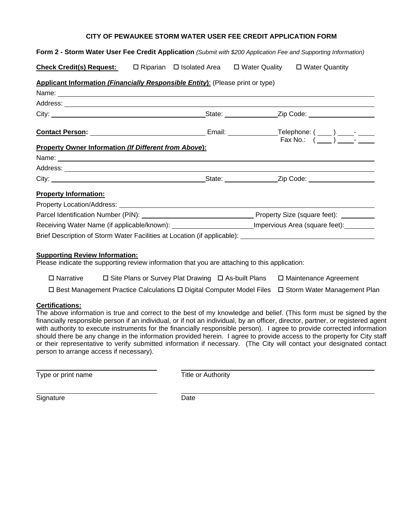## **Form 2 - Storm Water User Fee Credit Application** *(Submit with \$200 Application Fee and Supporting Information)* **Check Credit(s) Request:** 
□ Riparian □ Isolated Area □ Water Quality □ Water Quantity **Applicant Information** *(Financially Responsible Entity***)**: (Please print or type) Name: Address: **Address: Address: Address: Address: Address: Address: Address: Address: Address: Address: Address: Address: Address: Address: Address: Address: Address: Address: Address: Add** City: City: 2ip Code: 2ip Code: 2ip Code: 2ip Code: 2ip Code: 2ip Code: 2ip Code: 2ip Code: 2ip Code: 2ip Code: 2ip Code: 2ip Code: 2ip Code: 2ip Code: 2ip Code: 2ip Code: 2ip Code: 2ip Code: 2ip Code: 2ip Code: 2ip Code: **Contact Person:** Network: Telephone: ( ) - Network: ( ) - Telephone: ( ) - Network: ( ) - Network: ( ) - Network: ( ) - Network: ( ) - Network: ( ) - Network: ( ) - Network: ( ) - Network: ( ) - Network: ( ) - Network: ( Fax No.:  $(\_\_) \_\_$ **Property Owner Information** *(If Different from Above***):** Name: Address: City: City: City: City: City: City: City: City: 2ip Code: 2ip Code: 2ip Code: 2ip Code: 2ip Code: 2ip Code: 2ip Code: 2ip Code: 2ip Code: 2ip Code: 2ip Code: 2ip Code: 2ip Code: 2ip Code: 2ip Code: 2ip Code: 2ip Code: 2ip **Property Information:** Property Location/Address: Parcel Identification Number (PIN): Property Size (square feet): Receiving Water Name (if applicable/known): Impervious Area (square feet): Brief Description of Storm Water Facilities at Location (if applicable):

**CITY OF PEWAUKEE STORM WATER USER FEE CREDIT APPLICATION FORM** 

#### **Supporting Review Information:**

Please indicate the supporting review information that you are attaching to this application:

- $\Box$  Narrative  $\Box$  Site Plans or Survey Plat Drawing  $\Box$  As-built Plans  $\Box$  Maintenance Agreement
- $\Box$  Best Management Practice Calculations  $\Box$  Digital Computer Model Files  $\Box$  Storm Water Management Plan

#### **Certifications:**

The above information is true and correct to the best of my knowledge and belief. (This form must be signed by the financially responsible person if an individual, or if not an individual, by an officer, director, partner, or registered agent with authority to execute instruments for the financially responsible person). I agree to provide corrected information should there be any change in the information provided herein. I agree to provide access to the property for City staff or their representative to verify submitted information if necessary. (The City will contact your designated contact person to arrange access if necessary).

Type or print name Type or print name

Signature Date

 $\overline{a}$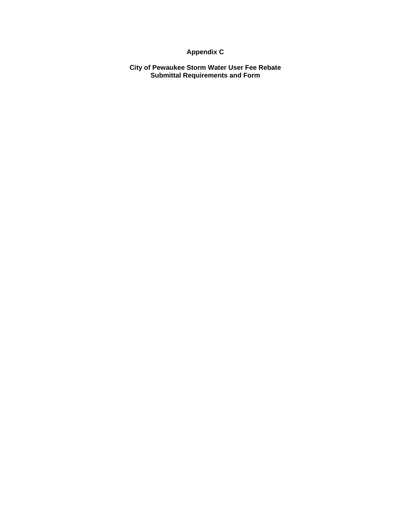### **Appendix C**

**City of Pewaukee Storm Water User Fee Rebate Submittal Requirements and Form**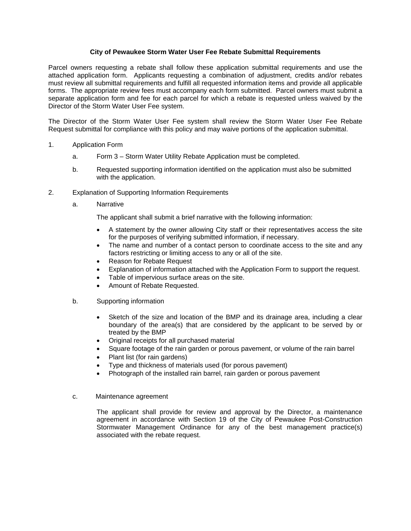#### **City of Pewaukee Storm Water User Fee Rebate Submittal Requirements**

Parcel owners requesting a rebate shall follow these application submittal requirements and use the attached application form. Applicants requesting a combination of adjustment, credits and/or rebates must review all submittal requirements and fulfill all requested information items and provide all applicable forms. The appropriate review fees must accompany each form submitted. Parcel owners must submit a separate application form and fee for each parcel for which a rebate is requested unless waived by the Director of the Storm Water User Fee system.

The Director of the Storm Water User Fee system shall review the Storm Water User Fee Rebate Request submittal for compliance with this policy and may waive portions of the application submittal.

- 1. Application Form
	- a. Form 3 Storm Water Utility Rebate Application must be completed.
	- b. Requested supporting information identified on the application must also be submitted with the application.
- 2. Explanation of Supporting Information Requirements
	- a. Narrative

The applicant shall submit a brief narrative with the following information:

- A statement by the owner allowing City staff or their representatives access the site for the purposes of verifying submitted information, if necessary.
- The name and number of a contact person to coordinate access to the site and any factors restricting or limiting access to any or all of the site.
- Reason for Rebate Request
- Explanation of information attached with the Application Form to support the request.
- Table of impervious surface areas on the site.
- Amount of Rebate Requested.
- b. Supporting information
	- Sketch of the size and location of the BMP and its drainage area, including a clear boundary of the area(s) that are considered by the applicant to be served by or treated by the BMP
	- Original receipts for all purchased material
	- Square footage of the rain garden or porous pavement, or volume of the rain barrel
	- Plant list (for rain gardens)
	- Type and thickness of materials used (for porous pavement)
	- Photograph of the installed rain barrel, rain garden or porous pavement
- c. Maintenance agreement

The applicant shall provide for review and approval by the Director, a maintenance agreement in accordance with Section 19 of the City of Pewaukee Post-Construction Stormwater Management Ordinance for any of the best management practice(s) associated with the rebate request.